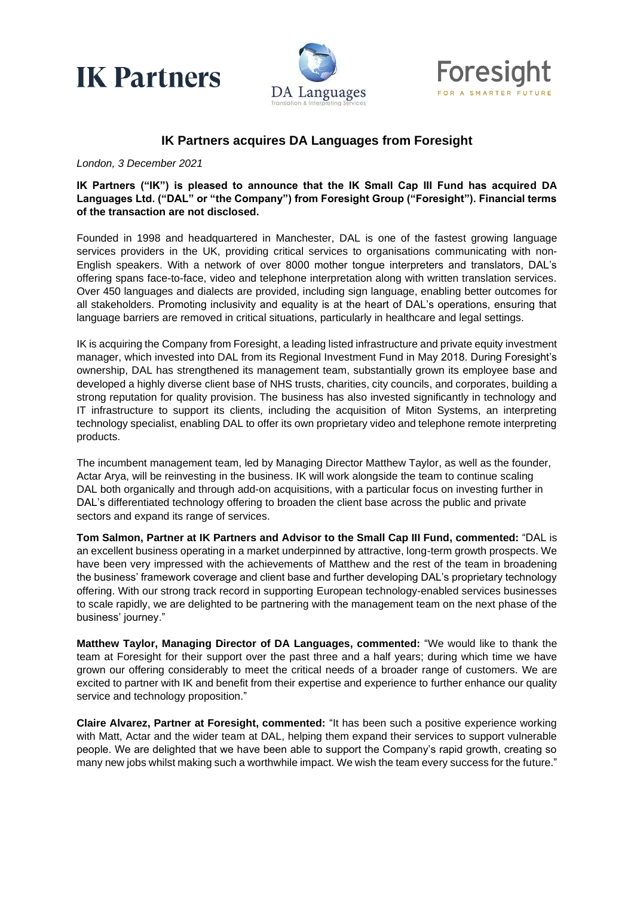





## **IK Partners acquires DA Languages from Foresight**

*London, 3 December 2021*

**IK Partners ("IK") is pleased to announce that the IK Small Cap III Fund has acquired DA Languages Ltd. ("DAL" or "the Company") from Foresight Group ("Foresight"). Financial terms of the transaction are not disclosed.** 

Founded in 1998 and headquartered in Manchester, DAL is one of the fastest growing language services providers in the UK, providing critical services to organisations communicating with non-English speakers. With a network of over 8000 mother tongue interpreters and translators, DAL's offering spans face-to-face, video and telephone interpretation along with written translation services. Over 450 languages and dialects are provided, including sign language, enabling better outcomes for all stakeholders. Promoting inclusivity and equality is at the heart of DAL's operations, ensuring that language barriers are removed in critical situations, particularly in healthcare and legal settings.

IK is acquiring the Company from Foresight, a leading listed infrastructure and private equity investment manager, which invested into DAL from its Regional Investment Fund in May 2018. During Foresight's ownership, DAL has strengthened its management team, substantially grown its employee base and developed a highly diverse client base of NHS trusts, charities, city councils, and corporates, building a strong reputation for quality provision. The business has also invested significantly in technology and IT infrastructure to support its clients, including the acquisition of Miton Systems, an interpreting technology specialist, enabling DAL to offer its own proprietary video and telephone remote interpreting products.

The incumbent management team, led by Managing Director Matthew Taylor, as well as the founder, Actar Arya, will be reinvesting in the business. IK will work alongside the team to continue scaling DAL both organically and through add-on acquisitions, with a particular focus on investing further in DAL's differentiated technology offering to broaden the client base across the public and private sectors and expand its range of services.

**Tom Salmon, Partner at IK Partners and Advisor to the Small Cap III Fund, commented:** "DAL is an excellent business operating in a market underpinned by attractive, long-term growth prospects. We have been very impressed with the achievements of Matthew and the rest of the team in broadening the business' framework coverage and client base and further developing DAL's proprietary technology offering. With our strong track record in supporting European technology-enabled services businesses to scale rapidly, we are delighted to be partnering with the management team on the next phase of the business' journey."

**Matthew Taylor, Managing Director of DA Languages, commented:** "We would like to thank the team at Foresight for their support over the past three and a half years; during which time we have grown our offering considerably to meet the critical needs of a broader range of customers. We are excited to partner with IK and benefit from their expertise and experience to further enhance our quality service and technology proposition."

**Claire Alvarez, Partner at Foresight, commented:** "It has been such a positive experience working with Matt, Actar and the wider team at DAL, helping them expand their services to support vulnerable people. We are delighted that we have been able to support the Company's rapid growth, creating so many new jobs whilst making such a worthwhile impact. We wish the team every success for the future."